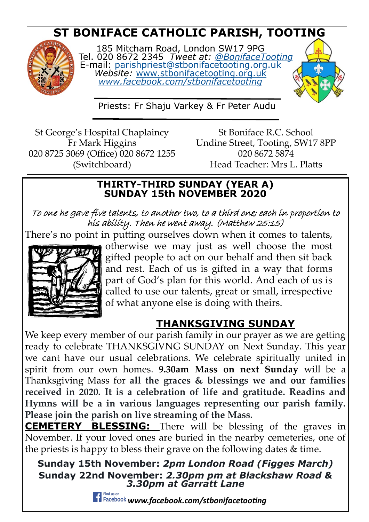# **ST BONIFACE CATHOLIC PARISH, TOOTING**



185 Mitcham Road, London SW17 9PG Tel. 020 8672 2345 *Tweet at: [@BonifaceTooting](http://twitter.com/bonifacetooting)* E-mail: [parishpriest@stbonifacetooting.org.uk](mailto:parishpriest@stbonifacetooting.org.uk) *Website:* [www.stbonifacetooting.org.uk](http://www.stbonifacetooting.org.uk) *[www.facebook.com/stbonifacetooting](http://www.facebook.com/stbonifacetooting)*



Priests: Fr Shaju Varkey & Fr Peter Audu

St George's Hospital Chaplaincy Fr Mark Higgins 020 8725 3069 (Office) 020 8672 1255 (Switchboard)

St Boniface R.C. School Undine Street, Tooting, SW17 8PP 020 8672 5874 Head Teacher: Mrs L. Platts

#### **THIRTY-THIRD SUNDAY (YEAR A) SUNDAY 15th NOVEMBER 2020**

To one he gave five talents, to another two, to a third one; each in proportion to his ability. Then he went away. (Matthew 25:15)

There's no point in putting ourselves down when it comes to talents,



otherwise we may just as well choose the most gifted people to act on our behalf and then sit back and rest. Each of us is gifted in a way that forms part of God's plan for this world. And each of us is called to use our talents, great or small, irrespective of what anyone else is doing with theirs.

# **THANKSGIVING SUNDAY**

We keep every member of our parish family in our prayer as we are getting ready to celebrate THANKSGIVNG SUNDAY on Next Sunday. This year we cant have our usual celebrations. We celebrate spiritually united in spirit from our own homes. **9.30am Mass on next Sunday** will be a Thanksgiving Mass for **all the graces & blessings we and our families received in 2020. It is a celebration of life and gratitude. Readins and Hymns will be a in various languages representing our parish family. Please join the parish on live streaming of the Mass.**

**CEMETERY BLESSING:** There will be blessing of the graves in November. If your loved ones are buried in the nearby cemeteries, one of the priests is happy to bless their grave on the following dates & time.

**Sunday 15th November:** *2pm London Road (Figges March)*  **Sunday 22nd November:** *2.30pm pm at Blackshaw Road & 3.30pm at Garratt Lane*

> Find us on *w* Facebook www.facebook.com/stbonifacetooting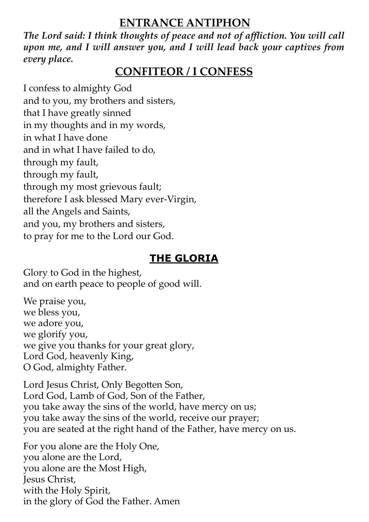#### **ENTRANCE ANTIPHON**

*The Lord said: I think thoughts of peace and not of affliction. You will call upon me, and I will answer you, and I will lead back your captives from every place.*

# **CONFITEOR / I CONFESS**

I confess to almighty God and to you, my brothers and sisters, that I have greatly sinned in my thoughts and in my words, in what I have done and in what I have failed to do, through my fault, through my fault, through my most grievous fault; therefore I ask blessed Mary ever-Virgin, all the Angels and Saints, and you, my brothers and sisters, to pray for me to the Lord our God.

#### **THE GLORIA**

Glory to God in the highest, and on earth peace to people of good will.

We praise you, we bless you, we adore you, we glorify you, we give you thanks for your great glory, Lord God, heavenly King, O God, almighty Father.

Lord Jesus Christ, Only Begotten Son, Lord God, Lamb of God, Son of the Father, you take away the sins of the world, have mercy on us; you take away the sins of the world, receive our prayer; you are seated at the right hand of the Father, have mercy on us.

For you alone are the Holy One, you alone are the Lord, you alone are the Most High, Jesus Christ, with the Holy Spirit, in the glory of God the Father. Amen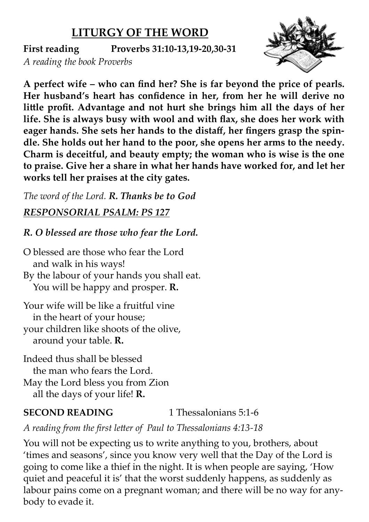# **LITURGY OF THE WORD**

**First reading Proverbs 31:10-13,19-20,30-31**

*A reading the book Proverbs* 



**A perfect wife – who can find her? She is far beyond the price of pearls. Her husband's heart has confidence in her, from her he will derive no little profit. Advantage and not hurt she brings him all the days of her life. She is always busy with wool and with flax, she does her work with eager hands. She sets her hands to the distaff, her fingers grasp the spindle. She holds out her hand to the poor, she opens her arms to the needy. Charm is deceitful, and beauty empty; the woman who is wise is the one to praise. Give her a share in what her hands have worked for, and let her works tell her praises at the city gates.**

*The word of the Lord. R. Thanks be to God*

#### *RESPONSORIAL PSALM: PS 127*

### *R. O blessed are those who fear the Lord.*

O blessed are those who fear the Lord and walk in his ways! By the labour of your hands you shall eat. You will be happy and prosper. **R.**

Your wife will be like a fruitful vine in the heart of your house; your children like shoots of the olive, around your table. **R.**

Indeed thus shall be blessed the man who fears the Lord.

May the Lord bless you from Zion all the days of your life! **R.**

#### **SECOND READING** 1 Thessalonians 5:1-6

*A reading from the first letter of Paul to Thessalonians 4:13-18*

You will not be expecting us to write anything to you, brothers, about 'times and seasons', since you know very well that the Day of the Lord is going to come like a thief in the night. It is when people are saying, 'How quiet and peaceful it is' that the worst suddenly happens, as suddenly as labour pains come on a pregnant woman; and there will be no way for anybody to evade it.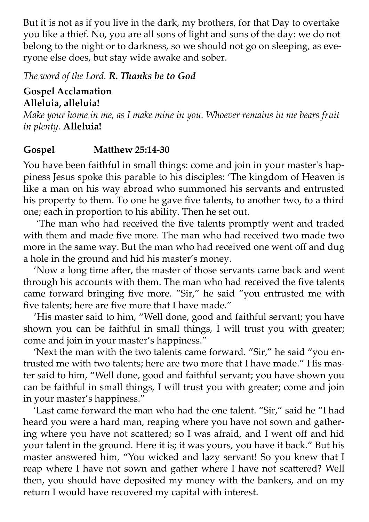But it is not as if you live in the dark, my brothers, for that Day to overtake you like a thief. No, you are all sons of light and sons of the day: we do not belong to the night or to darkness, so we should not go on sleeping, as everyone else does, but stay wide awake and sober.

*The word of the Lord. R. Thanks be to God*

#### **Gospel Acclamation Alleluia, alleluia!**

*Make your home in me, as I make mine in you. Whoever remains in me bears fruit in plenty.* **Alleluia!**

### **Gospel Matthew 25:14-30**

You have been faithful in small things: come and join in your master's happiness Jesus spoke this parable to his disciples: 'The kingdom of Heaven is like a man on his way abroad who summoned his servants and entrusted his property to them. To one he gave five talents, to another two, to a third one; each in proportion to his ability. Then he set out.

'The man who had received the five talents promptly went and traded with them and made five more. The man who had received two made two more in the same way. But the man who had received one went off and dug a hole in the ground and hid his master's money.

'Now a long time after, the master of those servants came back and went through his accounts with them. The man who had received the five talents came forward bringing five more. "Sir," he said "you entrusted me with five talents; here are five more that I have made."

'His master said to him, "Well done, good and faithful servant; you have shown you can be faithful in small things, I will trust you with greater; come and join in your master's happiness."

'Next the man with the two talents came forward. "Sir," he said "you entrusted me with two talents; here are two more that I have made." His master said to him, "Well done, good and faithful servant; you have shown you can be faithful in small things, I will trust you with greater; come and join in your master's happiness."

'Last came forward the man who had the one talent. "Sir," said he "I had heard you were a hard man, reaping where you have not sown and gathering where you have not scattered; so I was afraid, and I went off and hid your talent in the ground. Here it is; it was yours, you have it back." But his master answered him, "You wicked and lazy servant! So you knew that I reap where I have not sown and gather where I have not scattered? Well then, you should have deposited my money with the bankers, and on my return I would have recovered my capital with interest.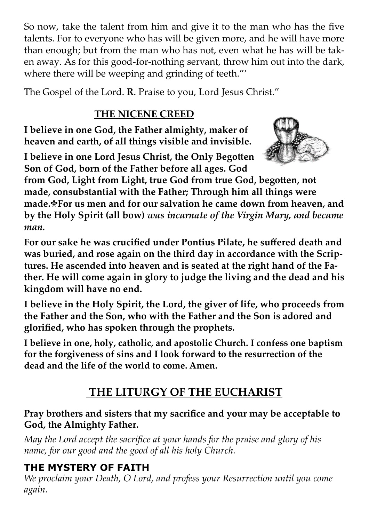So now, take the talent from him and give it to the man who has the five talents. For to everyone who has will be given more, and he will have more than enough; but from the man who has not, even what he has will be taken away. As for this good-for-nothing servant, throw him out into the dark, where there will be weeping and grinding of teeth."'

The Gospel of the Lord. **R**. Praise to you, Lord Jesus Christ."

#### **THE NICENE CREED**

**I believe in one God, the Father almighty, maker of heaven and earth, of all things visible and invisible.**

**I believe in one Lord Jesus Christ, the Only Begotten Son of God, born of the Father before all ages. God** 



**from God, Light from Light, true God from true God, begotten, not made, consubstantial with the Father; Through him all things were made.
For us men and for our salvation he came down from heaven, and by the Holy Spirit (all bow)** *was incarnate of the Virgin Mary, and became man.*

**For our sake he was crucified under Pontius Pilate, he suffered death and was buried, and rose again on the third day in accordance with the Scriptures. He ascended into heaven and is seated at the right hand of the Father. He will come again in glory to judge the living and the dead and his kingdom will have no end.**

**I believe in the Holy Spirit, the Lord, the giver of life, who proceeds from the Father and the Son, who with the Father and the Son is adored and glorified, who has spoken through the prophets.**

**I believe in one, holy, catholic, and apostolic Church. I confess one baptism for the forgiveness of sins and I look forward to the resurrection of the dead and the life of the world to come. Amen.**

# **THE LITURGY OF THE EUCHARIST**

#### **Pray brothers and sisters that my sacrifice and your may be acceptable to God, the Almighty Father.**

*May the Lord accept the sacrifice at your hands for the praise and glory of his name, for our good and the good of all his holy Church.*

### **THE MYSTERY OF FAITH**

*We proclaim your Death, O Lord, and profess your Resurrection until you come again.*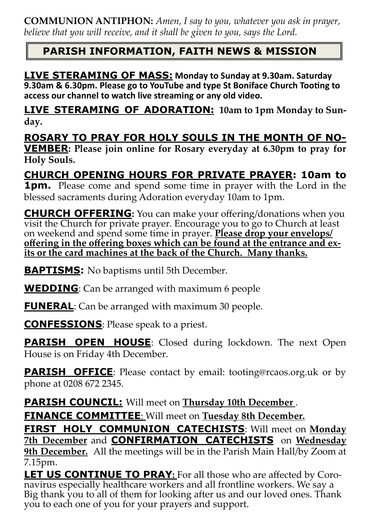**COMMUNION ANTIPHON:** *Amen, I say to you, whatever you ask in prayer, believe that you will receive, and it shall be given to you, says the Lord.*

# **PARISH INFORMATION, FAITH NEWS & MISSION**

**LIVE STERAMING OF MASS: Monday to Sunday at 9.30am. Saturday 9.30am & 6.30pm. Please go to YouTube and type St Boniface Church Tooting to access our channel to watch live streaming or any old video.** 

**LIVE STERAMING OF ADORATION: 10am to 1pm Monday to Sunday.**

**ROSARY TO PRAY FOR HOLY SOULS IN THE MONTH OF NO-VEMBER: Please join online for Rosary everyday at 6.30pm to pray for Holy Souls.**

**CHURCH OPENING HOURS FOR PRIVATE PRAYER: 10am to 1pm.** Please come and spend some time in prayer with the Lord in the blessed sacraments during Adoration everyday 10am to 1pm.

**CHURCH OFFERING:** You can make your offering/donations when you visit the Church for private prayer. Encourage you to go to Church at least on weekend and spend some time in prayer. **Please drop your envelops/ offering in the offering boxes which can be found at the entrance and exits or the card machines at the back of the Church. Many thanks.**

**BAPTISMS:** No baptisms until 5th December.

**WEDDING**: Can be arranged with maximum 6 people

**FUNERAL:** Can be arranged with maximum 30 people.

**CONFESSIONS**: Please speak to a priest.

**PARISH OPEN HOUSE:** Closed during lockdown. The next Open House is on Friday 4th December.

**PARISH OFFICE:** Please contact by email: tooting@rcaos.org.uk or by phone at 0208 672 2345.

**PARISH COUNCIL:** Will meet on **Thursday 10th December** . **FINANCE COMMITTEE**: Will meet on **Tuesday 8th December. FIRST HOLY COMMUNION CATECHISTS**: Will meet on **Monday 7th December** and **CONFIRMATION CATECHISTS** on **Wednesday 9th December.** All the meetings will be in the Parish Main Hall/by Zoom at 7.15pm.

**LET US CONTINUE TO PRAY:** For all those who are affected by Coronavirus especially healthcare workers and all frontline workers. We say a Big thank you to all of them for looking after us and our loved ones. Thank you to each one of you for your prayers and support.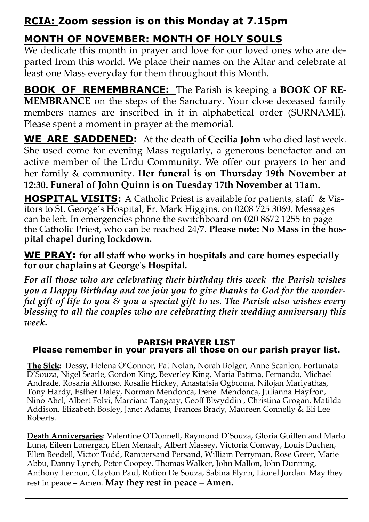# **RCIA: Zoom session is on this Monday at 7.15pm**

# **MONTH OF NOVEMBER: MONTH OF HOLY SOULS**

We dedicate this month in prayer and love for our loved ones who are departed from this world. We place their names on the Altar and celebrate at least one Mass everyday for them throughout this Month.

**BOOK OF REMEMBRANCE:** The Parish is keeping a **BOOK OF RE-MEMBRANCE** on the steps of the Sanctuary. Your close deceased family members names are inscribed in it in alphabetical order (SURNAME). Please spent a moment in prayer at the memorial.

**WE ARE SADDENED:** At the death of **Cecilia John** who died last week. She used come for evening Mass regularly, a generous benefactor and an active member of the Urdu Community. We offer our prayers to her and her family & community. **Her funeral is on Thursday 19th November at 12:30. Funeral of John Quinn is on Tuesday 17th November at 11am.**

**HOSPITAL VISITS:** A Catholic Priest is available for patients, staff & Visitors to St. George's Hospital, Fr. Mark Higgins, on 0208 725 3069. Messages can be left. In emergencies phone the switchboard on 020 8672 1255 to page the Catholic Priest, who can be reached 24/7. **Please note: No Mass in the hospital chapel during lockdown.**

**WE PRAY: for all staff who works in hospitals and care homes especially for our chaplains at George's Hospital.** 

*For all those who are celebrating their birthday this week the Parish wishes you a Happy Birthday and we join you to give thanks to God for the wonderful gift of life to you & you a special gift to us. The Parish also wishes every blessing to all the couples who are celebrating their wedding anniversary this week.*

#### **PARISH PRAYER LIST Please remember in your prayers all those on our parish prayer list.**

**The Sick:** Dessy, Helena O'Connor, Pat Nolan, Norah Bolger, Anne Scanlon, Fortunata D'Souza, Nigel Searle, Gordon King, Beverley King, Maria Fatima, Fernando, Michael Andrade, Rosaria Alfonso, Rosalie Hickey, Anastatsia Ogbonna, Nilojan Mariyathas, Tony Hardy, Esther Daley, Norman Mendonca, Irene Mendonca, Julianna Hayfron, Nino Abel, Albert Folvi, Marciana Tangcay, Geoff Blwyddin , Christina Grogan, Matilda Addison, Elizabeth Bosley, Janet Adams, Frances Brady, Maureen Connelly & Eli Lee Roberts.

**Death Anniversaries**: Valentine O'Donnell, Raymond D'Souza, Gloria Guillen and Marlo Luna, Eileen Lonergan, Ellen Mensah, Albert Massey, Victoria Conway, Louis Duchen, Ellen Beedell, Victor Todd, Rampersand Persand, William Perryman, Rose Greer, Marie Abbu, Danny Lynch, Peter Coopey, Thomas Walker, John Mallon, John Dunning, Anthony Lennon, Clayton Paul, Rufion De Souza, Sabina Flynn, Lionel Jordan. May they rest in peace – Amen. **May they rest in peace – Amen.**